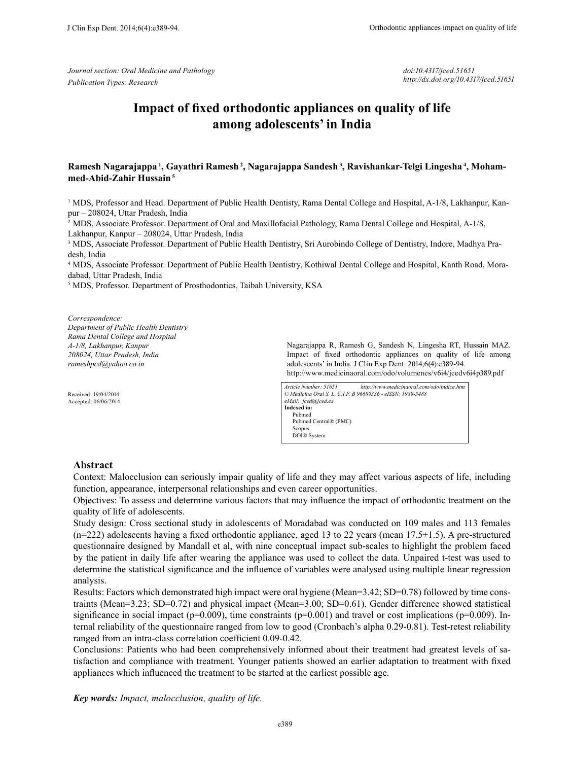*Journal section: Oral Medicine and Pathology Publication Types: Research*

*doi:10.4317/jced.51651 http://dx.doi.org/10.4317/jced.51651*

# **Impact of fixed orthodontic appliances on quality of life among adolescents' in India**

# **Ramesh Nagarajappa 1, Gayathri Ramesh 2, Nagarajappa Sandesh 3, Ravishankar-Telgi Lingesha 4, Mohammed-Abid-Zahir Hussain<sup>5</sup>**

<sup>1</sup> MDS, Professor and Head. Department of Public Health Dentisty, Rama Dental College and Hospital, A-1/8, Lakhanpur, Kanpur – 208024, Uttar Pradesh, India

2 MDS, Associate Professor. Department of Oral and Maxillofacial Pathology, Rama Dental College and Hospital, A-1/8, Lakhanpur, Kanpur – 208024, Uttar Pradesh, India

<sup>3</sup> MDS, Associate Professor. Department of Public Health Dentistry, Sri Aurobindo College of Dentistry, Indore, Madhya Pradesh, India

4 MDS, Associate Professor. Department of Public Health Dentistry, Kothiwal Dental College and Hospital, Kanth Road, Moradabad, Uttar Pradesh, India

5 MDS, Professor. Department of Prosthodontics, Taibah University, KSA

*Correspondence: Department of Public Health Dentistry Rama Dental College and Hospital A-1/8, Lakhanpur, Kanpur 208024, Uttar Pradesh, India rameshpcd@yahoo.co.in*

Received: 19/04/2014 Accepted: 06/06/2014

Nagarajappa R, Ramesh G, Sandesh N, Lingesha RT, Hussain MAZ. Impact of fixed orthodontic appliances on quality of life among adolescents' in India. J Clin Exp Dent. 2014;6(4):e389-94. http://www.medicinaoral.com/odo/volumenes/v6i4/jcedv6i4p389.pdf

*Article Number: 51651 http://www.medicinaoral.com/odo/indice.htm © Medicina Oral S. L. C.I.F. B 96689336 - eISSN: 1989-5488 eMail: jced@jced.es* **Indexed in:** Pubmed Pubmed Central® (PMC) Scopus DOI® System

## **Abstract**

Context: Malocclusion can seriously impair quality of life and they may affect various aspects of life, including function, appearance, interpersonal relationships and even career opportunities.

Objectives: To assess and determine various factors that may influence the impact of orthodontic treatment on the quality of life of adolescents.

Study design: Cross sectional study in adolescents of Moradabad was conducted on 109 males and 113 females  $(n=222)$  adolescents having a fixed orthodontic appliance, aged 13 to 22 years (mean 17.5 $\pm$ 1.5). A pre-structured questionnaire designed by Mandall et al, with nine conceptual impact sub-scales to highlight the problem faced by the patient in daily life after wearing the appliance was used to collect the data. Unpaired t-test was used to determine the statistical significance and the influence of variables were analysed using multiple linear regression analysis.

Results: Factors which demonstrated high impact were oral hygiene (Mean=3.42; SD=0.78) followed by time constraints (Mean=3.23; SD=0.72) and physical impact (Mean=3.00; SD=0.61). Gender difference showed statistical significance in social impact ( $p=0.009$ ), time constraints ( $p=0.001$ ) and travel or cost implications ( $p=0.009$ ). Internal reliability of the questionnaire ranged from low to good (Cronbach's alpha 0.29-0.81). Test-retest reliability ranged from an intra-class correlation coefficient 0.09-0.42.

Conclusions: Patients who had been comprehensively informed about their treatment had greatest levels of satisfaction and compliance with treatment. Younger patients showed an earlier adaptation to treatment with fixed appliances which influenced the treatment to be started at the earliest possible age.

*Key words: Impact, malocclusion, quality of life.*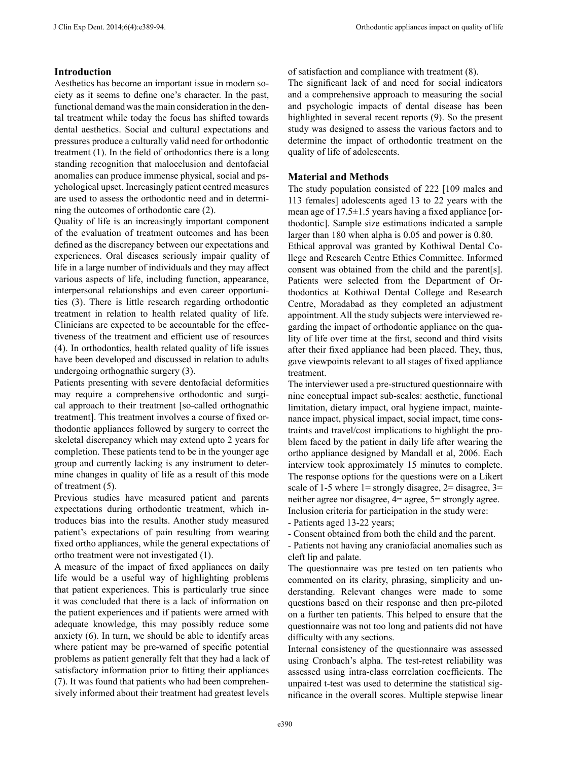# **Introduction**

Aesthetics has become an important issue in modern society as it seems to define one's character. In the past, functional demand was the main consideration in the dental treatment while today the focus has shifted towards dental aesthetics. Social and cultural expectations and pressures produce a culturally valid need for orthodontic treatment (1). In the field of orthodontics there is a long standing recognition that malocclusion and dentofacial anomalies can produce immense physical, social and psychological upset. Increasingly patient centred measures are used to assess the orthodontic need and in determining the outcomes of orthodontic care (2).

Quality of life is an increasingly important component of the evaluation of treatment outcomes and has been defined as the discrepancy between our expectations and experiences. Oral diseases seriously impair quality of life in a large number of individuals and they may affect various aspects of life, including function, appearance, interpersonal relationships and even career opportunities (3). There is little research regarding orthodontic treatment in relation to health related quality of life. Clinicians are expected to be accountable for the effectiveness of the treatment and efficient use of resources (4). In orthodontics, health related quality of life issues have been developed and discussed in relation to adults undergoing orthognathic surgery (3).

Patients presenting with severe dentofacial deformities may require a comprehensive orthodontic and surgical approach to their treatment [so-called orthognathic treatment]. This treatment involves a course of fixed orthodontic appliances followed by surgery to correct the skeletal discrepancy which may extend upto 2 years for completion. These patients tend to be in the younger age group and currently lacking is any instrument to determine changes in quality of life as a result of this mode of treatment (5).

Previous studies have measured patient and parents expectations during orthodontic treatment, which introduces bias into the results. Another study measured patient's expectations of pain resulting from wearing fixed ortho appliances, while the general expectations of ortho treatment were not investigated (1).

A measure of the impact of fixed appliances on daily life would be a useful way of highlighting problems that patient experiences. This is particularly true since it was concluded that there is a lack of information on the patient experiences and if patients were armed with adequate knowledge, this may possibly reduce some anxiety (6). In turn, we should be able to identify areas where patient may be pre-warned of specific potential problems as patient generally felt that they had a lack of satisfactory information prior to fitting their appliances (7). It was found that patients who had been comprehensively informed about their treatment had greatest levels of satisfaction and compliance with treatment (8).

The significant lack of and need for social indicators and a comprehensive approach to measuring the social and psychologic impacts of dental disease has been highlighted in several recent reports (9). So the present study was designed to assess the various factors and to determine the impact of orthodontic treatment on the quality of life of adolescents.

### **Material and Methods**

The study population consisted of 222 [109 males and 113 females] adolescents aged 13 to 22 years with the mean age of 17.5±1.5 years having a fixed appliance [orthodontic]. Sample size estimations indicated a sample larger than 180 when alpha is 0.05 and power is 0.80.

Ethical approval was granted by Kothiwal Dental College and Research Centre Ethics Committee. Informed consent was obtained from the child and the parent[s]. Patients were selected from the Department of Orthodontics at Kothiwal Dental College and Research Centre, Moradabad as they completed an adjustment appointment. All the study subjects were interviewed regarding the impact of orthodontic appliance on the quality of life over time at the first, second and third visits after their fixed appliance had been placed. They, thus, gave viewpoints relevant to all stages of fixed appliance treatment.

The interviewer used a pre-structured questionnaire with nine conceptual impact sub-scales: aesthetic, functional limitation, dietary impact, oral hygiene impact, maintenance impact, physical impact, social impact, time constraints and travel/cost implications to highlight the problem faced by the patient in daily life after wearing the ortho appliance designed by Mandall et al, 2006. Each interview took approximately 15 minutes to complete. The response options for the questions were on a Likert scale of 1-5 where  $1 =$  strongly disagree,  $2 =$  disagree,  $3 =$ neither agree nor disagree, 4= agree, 5= strongly agree. Inclusion criteria for participation in the study were:

- Patients aged 13-22 years;

- Consent obtained from both the child and the parent.

- Patients not having any craniofacial anomalies such as cleft lip and palate.

The questionnaire was pre tested on ten patients who commented on its clarity, phrasing, simplicity and understanding. Relevant changes were made to some questions based on their response and then pre-piloted on a further ten patients. This helped to ensure that the questionnaire was not too long and patients did not have difficulty with any sections.

Internal consistency of the questionnaire was assessed using Cronbach's alpha. The test-retest reliability was assessed using intra-class correlation coefficients. The unpaired t-test was used to determine the statistical significance in the overall scores. Multiple stepwise linear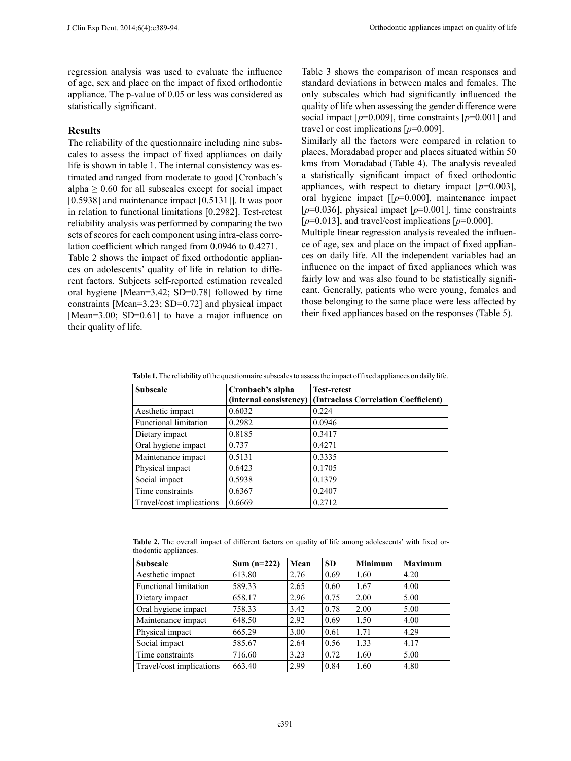regression analysis was used to evaluate the influence of age, sex and place on the impact of fixed orthodontic appliance. The p-value of 0.05 or less was considered as statistically significant.

## **Results**

The reliability of the questionnaire including nine subscales to assess the impact of fixed appliances on daily life is shown in table 1. The internal consistency was estimated and ranged from moderate to good [Cronbach's alpha  $\geq 0.60$  for all subscales except for social impact [0.5938] and maintenance impact [0.5131]]. It was poor in relation to functional limitations [0.2982]. Test-retest reliability analysis was performed by comparing the two sets of scores for each component using intra-class correlation coefficient which ranged from 0.0946 to 0.4271.

Table 2 shows the impact of fixed orthodontic appliances on adolescents' quality of life in relation to different factors. Subjects self-reported estimation revealed oral hygiene [Mean=3.42; SD=0.78] followed by time constraints [Mean=3.23; SD=0.72] and physical impact [Mean=3.00; SD=0.61] to have a major influence on their quality of life.

Table 3 shows the comparison of mean responses and standard deviations in between males and females. The only subscales which had significantly influenced the quality of life when assessing the gender difference were social impact  $[p=0.009]$ , time constraints  $[p=0.001]$  and travel or cost implications [*p*=0.009].

Similarly all the factors were compared in relation to places, Moradabad proper and places situated within 50 kms from Moradabad (Table 4). The analysis revealed a statistically significant impact of fixed orthodontic appliances, with respect to dietary impact  $[p=0.003]$ , oral hygiene impact [[*p*=0.000], maintenance impact  $[p=0.036]$ , physical impact  $[p=0.001]$ , time constraints  $[p=0.013]$ , and travel/cost implications  $[p=0.000]$ .

Multiple linear regression analysis revealed the influence of age, sex and place on the impact of fixed appliances on daily life. All the independent variables had an influence on the impact of fixed appliances which was fairly low and was also found to be statistically significant. Generally, patients who were young, females and those belonging to the same place were less affected by their fixed appliances based on the responses (Table 5).

| <b>Table 1.</b> The reliability of the questionnaire subscales to assess the impact of fixed appliances on daily life. |  |  |  |
|------------------------------------------------------------------------------------------------------------------------|--|--|--|
|                                                                                                                        |  |  |  |

| <b>Subscale</b>              | Cronbach's alpha       | <b>Test-retest</b>                   |
|------------------------------|------------------------|--------------------------------------|
|                              | (internal consistency) | (Intraclass Correlation Coefficient) |
| Aesthetic impact             | 0.6032                 | 0.224                                |
| <b>Functional limitation</b> | 0.2982                 | 0.0946                               |
| Dietary impact               | 0.8185                 | 0.3417                               |
| Oral hygiene impact          | 0.737                  | 0.4271                               |
| Maintenance impact           | 0.5131                 | 0.3335                               |
| Physical impact              | 0.6423                 | 0.1705                               |
| Social impact                | 0.5938                 | 0.1379                               |
| Time constraints             | 0.6367                 | 0.2407                               |
| Travel/cost implications     | 0.6669                 | 0.2712                               |
|                              |                        |                                      |

|                       |  |  |  |  |  | <b>Table 2.</b> The overall impact of different factors on quality of life among adolescents' with fixed or- |  |  |
|-----------------------|--|--|--|--|--|--------------------------------------------------------------------------------------------------------------|--|--|
| thodontic appliances. |  |  |  |  |  |                                                                                                              |  |  |

| <b>Subscale</b>              | Sum $(n=222)$ | Mean | <b>SD</b> | <b>Minimum</b> | <b>Maximum</b> |
|------------------------------|---------------|------|-----------|----------------|----------------|
| Aesthetic impact             | 613.80        | 2.76 | 0.69      | 1.60           | 4.20           |
| <b>Functional limitation</b> | 589.33        | 2.65 | 0.60      | 1.67           | 4.00           |
| Dietary impact               | 658.17        | 2.96 | 0.75      | 2.00           | 5.00           |
| Oral hygiene impact          | 758.33        | 3.42 | 0.78      | 2.00           | 5.00           |
| Maintenance impact           | 648.50        | 2.92 | 0.69      | 1.50           | 4.00           |
| Physical impact              | 665.29        | 3.00 | 0.61      | 1.71           | 4.29           |
| Social impact                | 585.67        | 2.64 | 0.56      | 1.33           | 4.17           |
| Time constraints             | 716.60        | 3.23 | 0.72      | 1.60           | 5.00           |
| Travel/cost implications     | 663.40        | 2.99 | 0.84      | 1.60           | 4.80           |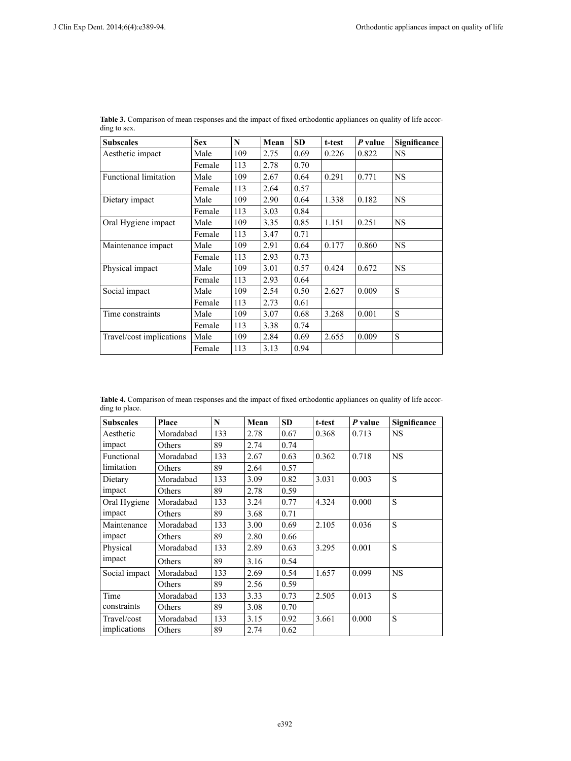| <b>Subscales</b>             | <b>Sex</b> | N   | Mean | <b>SD</b> | t-test | P value | Significance |
|------------------------------|------------|-----|------|-----------|--------|---------|--------------|
| Aesthetic impact             | Male       | 109 | 2.75 | 0.69      | 0.226  | 0.822   | <b>NS</b>    |
|                              | Female     | 113 | 2.78 | 0.70      |        |         |              |
| <b>Functional limitation</b> | Male       | 109 | 2.67 | 0.64      | 0.291  | 0.771   | <b>NS</b>    |
|                              | Female     | 113 | 2.64 | 0.57      |        |         |              |
| Dietary impact               | Male       | 109 | 2.90 | 0.64      | 1.338  | 0.182   | <b>NS</b>    |
|                              | Female     | 113 | 3.03 | 0.84      |        |         |              |
| Oral Hygiene impact          | Male       | 109 | 3.35 | 0.85      | 1.151  | 0.251   | <b>NS</b>    |
|                              | Female     | 113 | 3.47 | 0.71      |        |         |              |
| Maintenance impact           | Male       | 109 | 2.91 | 0.64      | 0.177  | 0.860   | <b>NS</b>    |
|                              | Female     | 113 | 2.93 | 0.73      |        |         |              |
| Physical impact              | Male       | 109 | 3.01 | 0.57      | 0.424  | 0.672   | <b>NS</b>    |
|                              | Female     | 113 | 2.93 | 0.64      |        |         |              |
| Social impact                | Male       | 109 | 2.54 | 0.50      | 2.627  | 0.009   | S            |
|                              | Female     | 113 | 2.73 | 0.61      |        |         |              |
| Time constraints             | Male       | 109 | 3.07 | 0.68      | 3.268  | 0.001   | S            |
|                              | Female     | 113 | 3.38 | 0.74      |        |         |              |
| Travel/cost implications     | Male       | 109 | 2.84 | 0.69      | 2.655  | 0.009   | S            |
|                              | Female     | 113 | 3.13 | 0.94      |        |         |              |

| <b>Table 3.</b> Comparison of mean responses and the impact of fixed orthodontic appliances on quality of life accor- |  |  |  |
|-----------------------------------------------------------------------------------------------------------------------|--|--|--|
| ding to sex.                                                                                                          |  |  |  |

**Table 4.** Comparison of mean responses and the impact of fixed orthodontic appliances on quality of life according to place.

| <b>Subscales</b> | Place     | N   | Mean | <b>SD</b> | t-test | P value | Significance |
|------------------|-----------|-----|------|-----------|--------|---------|--------------|
| Aesthetic        | Moradabad | 133 | 2.78 | 0.67      | 0.368  | 0.713   | <b>NS</b>    |
| impact           | Others    | 89  | 2.74 | 0.74      |        |         |              |
| Functional       | Moradabad | 133 | 2.67 | 0.63      | 0.362  | 0.718   | <b>NS</b>    |
| limitation       | Others    | 89  | 2.64 | 0.57      |        |         |              |
| Dietary          | Moradabad | 133 | 3.09 | 0.82      | 3.031  | 0.003   | S            |
| impact           | Others    | 89  | 2.78 | 0.59      |        |         |              |
| Oral Hygiene     | Moradabad | 133 | 3.24 | 0.77      | 4.324  | 0.000   | S            |
| impact           | Others    | 89  | 3.68 | 0.71      |        |         |              |
| Maintenance      | Moradabad | 133 | 3.00 | 0.69      | 2.105  | 0.036   | S            |
| impact           | Others    | 89  | 2.80 | 0.66      |        |         |              |
| Physical         | Moradabad | 133 | 2.89 | 0.63      | 3.295  | 0.001   | S            |
| impact           | Others    | 89  | 3.16 | 0.54      |        |         |              |
| Social impact    | Moradabad | 133 | 2.69 | 0.54      | 1.657  | 0.099   | <b>NS</b>    |
|                  | Others    | 89  | 2.56 | 0.59      |        |         |              |
| Time             | Moradabad | 133 | 3.33 | 0.73      | 2.505  | 0.013   | S            |
| constraints      | Others    | 89  | 3.08 | 0.70      |        |         |              |
| Travel/cost      | Moradabad | 133 | 3.15 | 0.92      | 3.661  | 0.000   | S            |
| implications     | Others    | 89  | 2.74 | 0.62      |        |         |              |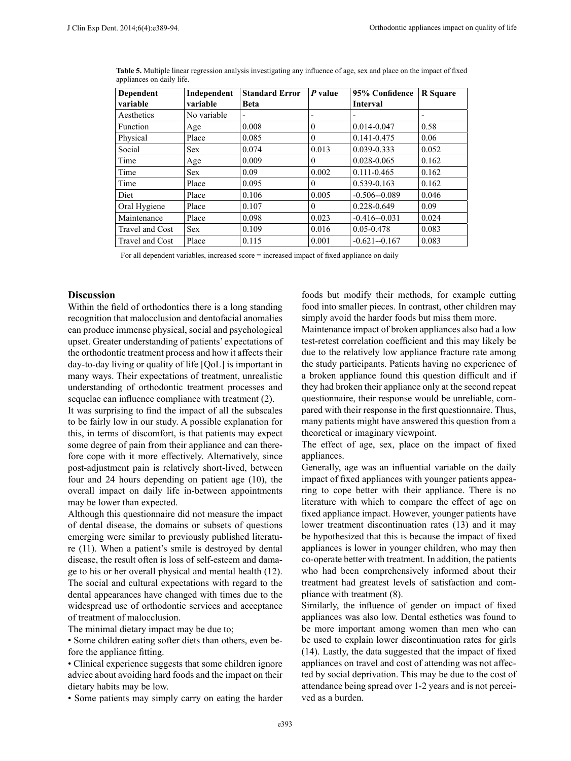| Dependent<br>variable | Independent<br>variable | <b>Standard Error</b><br><b>Beta</b> | P value  | 95% Confidence<br><b>Interval</b> | <b>R</b> Square |
|-----------------------|-------------------------|--------------------------------------|----------|-----------------------------------|-----------------|
| Aesthetics            | No variable             | $\overline{\phantom{0}}$             |          |                                   |                 |
| Function              | Age                     | 0.008                                | $\theta$ | 0.014-0.047                       | 0.58            |
| Physical              | Place                   | 0.085                                | $\theta$ | 0.141-0.475                       | 0.06            |
| Social                | <b>Sex</b>              | 0.074                                | 0.013    | 0.039-0.333                       | 0.052           |
| Time                  | Age                     | 0.009                                | $\Omega$ | 0.028-0.065                       | 0.162           |
| Time                  | <b>Sex</b>              | 0.09                                 | 0.002    | $0.111 - 0.465$                   | 0.162           |
| Time                  | Place                   | 0.095                                | $\theta$ | 0.539-0.163                       | 0.162           |
| Diet                  | Place                   | 0.106                                | 0.005    | $-0.506 - 0.089$                  | 0.046           |
| Oral Hygiene          | Place                   | 0.107                                | $\theta$ | 0.228-0.649                       | 0.09            |
| Maintenance           | Place                   | 0.098                                | 0.023    | $-0.416 - 0.031$                  | 0.024           |
| Travel and Cost       | <b>Sex</b>              | 0.109                                | 0.016    | 0.05-0.478                        | 0.083           |
| Travel and Cost       | Place                   | 0.115                                | 0.001    | $-0.621 - 0.167$                  | 0.083           |

**Table 5.** Multiple linear regression analysis investigating any influence of age, sex and place on the impact of fixed appliances on daily life.

For all dependent variables, increased score = increased impact of fixed appliance on daily

# **Discussion**

Within the field of orthodontics there is a long standing recognition that malocclusion and dentofacial anomalies can produce immense physical, social and psychological upset. Greater understanding of patients' expectations of the orthodontic treatment process and how it affects their day-to-day living or quality of life [QoL] is important in many ways. Their expectations of treatment, unrealistic understanding of orthodontic treatment processes and sequelae can influence compliance with treatment (2).

It was surprising to find the impact of all the subscales to be fairly low in our study. A possible explanation for this, in terms of discomfort, is that patients may expect some degree of pain from their appliance and can therefore cope with it more effectively. Alternatively, since post-adjustment pain is relatively short-lived, between four and 24 hours depending on patient age (10), the overall impact on daily life in-between appointments may be lower than expected.

Although this questionnaire did not measure the impact of dental disease, the domains or subsets of questions emerging were similar to previously published literature (11). When a patient's smile is destroyed by dental disease, the result often is loss of self-esteem and damage to his or her overall physical and mental health (12). The social and cultural expectations with regard to the dental appearances have changed with times due to the widespread use of orthodontic services and acceptance of treatment of malocclusion.

The minimal dietary impact may be due to;

• Some children eating softer diets than others, even before the appliance fitting.

• Clinical experience suggests that some children ignore advice about avoiding hard foods and the impact on their dietary habits may be low.

• Some patients may simply carry on eating the harder

foods but modify their methods, for example cutting food into smaller pieces. In contrast, other children may simply avoid the harder foods but miss them more.

Maintenance impact of broken appliances also had a low test-retest correlation coefficient and this may likely be due to the relatively low appliance fracture rate among the study participants. Patients having no experience of a broken appliance found this question difficult and if they had broken their appliance only at the second repeat questionnaire, their response would be unreliable, compared with their response in the first questionnaire. Thus, many patients might have answered this question from a theoretical or imaginary viewpoint.

The effect of age, sex, place on the impact of fixed appliances.

Generally, age was an influential variable on the daily impact of fixed appliances with younger patients appearing to cope better with their appliance. There is no literature with which to compare the effect of age on fixed appliance impact. However, younger patients have lower treatment discontinuation rates (13) and it may be hypothesized that this is because the impact of fixed appliances is lower in younger children, who may then co-operate better with treatment. In addition, the patients who had been comprehensively informed about their treatment had greatest levels of satisfaction and compliance with treatment (8).

Similarly, the influence of gender on impact of fixed appliances was also low. Dental esthetics was found to be more important among women than men who can be used to explain lower discontinuation rates for girls (14). Lastly, the data suggested that the impact of fixed appliances on travel and cost of attending was not affected by social deprivation. This may be due to the cost of attendance being spread over 1-2 years and is not perceived as a burden.